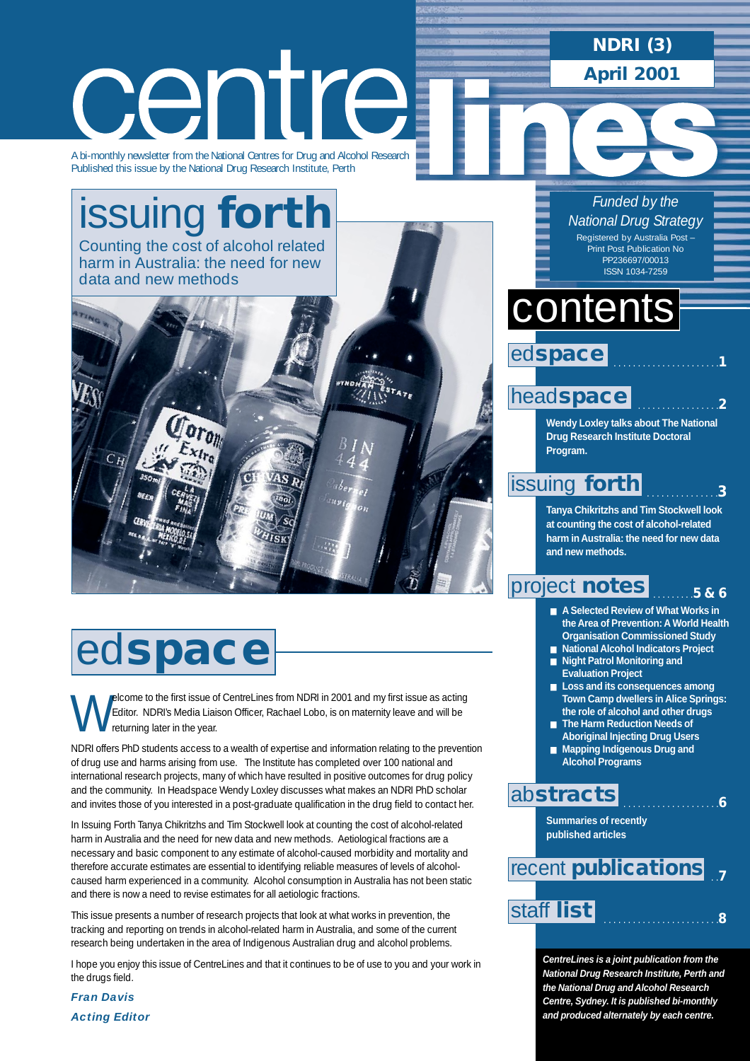**NDRI (3) April 2001**

# centre

A bi-monthly newsletter from the National Centres for Drug and Alcohol Research Published this issue by the National Drug Research Institute, Perth

# [issuing](#page-2-0) **forth** Counting the cost of alcohol related

harm in Australia: the need for new data and new methods



# ed**space**

**Welcome to the first issue of CentreLines from NDRI in 2001 and my first issue as acting Editor.** NDRI's Media Liaison Officer, Rachael Lobo, is on maternity leave and will be returning later in the year. Editor. NDRI's Media Liaison Officer, Rachael Lobo, is on maternity leave and will be returning later in the year.

NDRI offers PhD students access to a wealth of expertise and information relating to the prevention of drug use and harms arising from use. The Institute has completed over 100 national and international research projects, many of which have resulted in positive outcomes for drug policy and the community. In Headspace Wendy Loxley discusses what makes an NDRI PhD scholar and invites those of you interested in a post-graduate qualification in the drug field to contact her.

In Issuing Forth Tanya Chikritzhs and Tim Stockwell look at counting the cost of alcohol-related harm in Australia and the need for new data and new methods. Aetiological fractions are a necessary and basic component to any estimate of alcohol-caused morbidity and mortality and therefore accurate estimates are essential to identifying reliable measures of levels of alcoholcaused harm experienced in a community. Alcohol consumption in Australia has not been static and there is now a need to revise estimates for all aetiologic fractions.

This issue presents a number of research projects that look at what works in prevention, the tracking and reporting on trends in alcohol-related harm in Australia, and some of the current research being undertaken in the area of Indigenous Australian drug and alcohol problems.

I hope you enjoy this issue of CentreLines and that it continues to be of use to you and your work in the drugs field.

*Fran Davis Acting Editor*

### *Funded by the National Drug Strategy* Registered by Australia Post

Print Post Publication No PP236697/00013 ISSN 1034-7259

# contents



### head**[space](#page-1-0)**

**Wendy Loxley talks about The National Drug Research Institute Doctoral Program.**

### [issuing](#page-2-0) **forth**

. . . . . . . . . . . . . . .**3**

. . . . . . . . . . . . . . . . .**2**

**Tanya Chikritzhs and Tim Stockwell look at counting the cost of alcohol-related harm in Australia: the need for new data and new methods.**

#### . . . . . . . . .**5 & 6** [project](#page-4-0) **notes**

- **A Selected Review of What Works in the Area of Prevention: A World Health Organisation Commissioned Study**
- **National Alcohol Indicators Project**
- **Night Patrol Monitoring and Evaluation Project**
- **Loss and its consequences among Town Camp dwellers in Alice Springs: the role of alcohol and other drugs**

. . . . . . . . . . . . . . . . . . . .**6**

- **The Harm Reduction Needs of Aboriginal Injecting Drug Users**
- Mapping Indigenous Drug and **Alcohol Programs**

### ab**[stracts](#page-5-0)**

**Summaries of recently published articles**

### . .**7** . . . . . . . . . . . . . . . . . . . . . . . .**<sup>8</sup>** [staff](#page-7-0) **list** recent **[publications](#page-6-0)**

**CentreLines is a joint publication from the National Drug Research Institute, Perth and the National Drug and Alcohol Research Centre, Sydney. It is published bi-monthly and produced alternately by each centre.**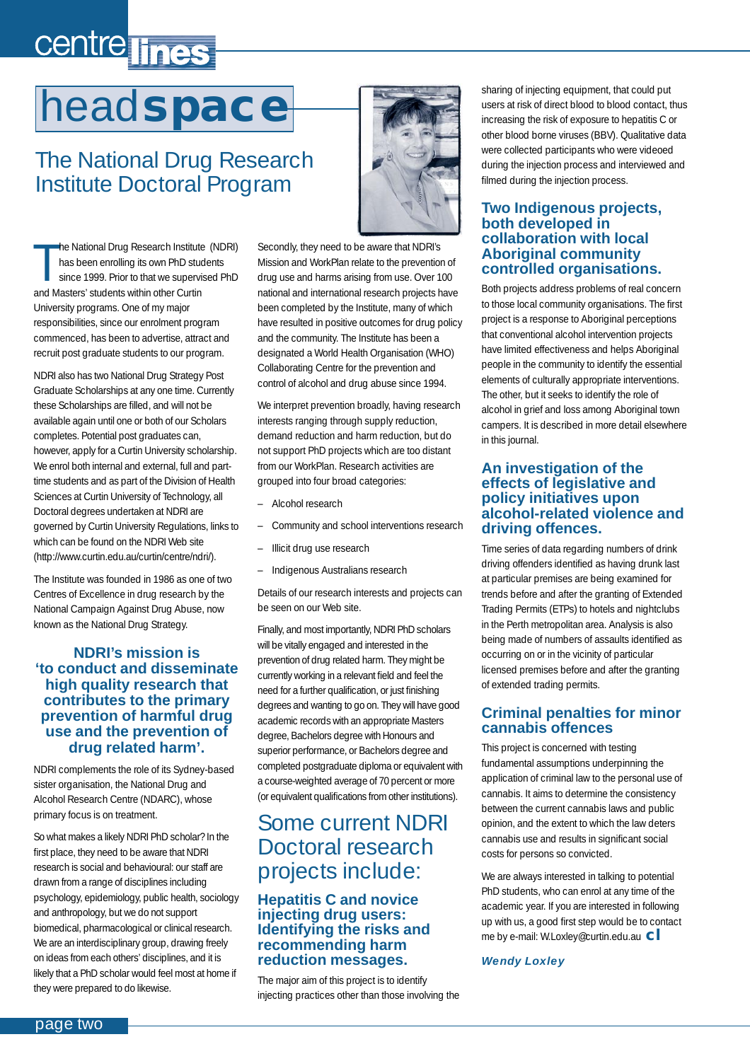# <span id="page-1-0"></span>centre lines

# head**space**

# The National Drug Research Institute Doctoral Program

T he National Drug Research Institute (NDRI) has been enrolling its own PhD students since 1999. Prior to that we supervised PhD and Masters' students within other Curtin University programs. One of my major responsibilities, since our enrolment program commenced, has been to advertise, attract and recruit post graduate students to our program.

NDRI also has two National Drug Strategy Post Graduate Scholarships at any one time. Currently these Scholarships are filled, and will not be available again until one or both of our Scholars completes. Potential post graduates can, however, apply for a Curtin University scholarship. We enrol both internal and external, full and parttime students and as part of the Division of Health Sciences at Curtin University of Technology, all Doctoral degrees undertaken at NDRI are governed by Curtin University Regulations, links to which can be found on the NDRI Web site (http://www.curtin.edu.au/curtin/centre/ndri/).

The Institute was founded in 1986 as one of two Centres of Excellence in drug research by the National Campaign Against Drug Abuse, now known as the National Drug Strategy.

#### **NDRI's mission is 'to conduct and disseminate high quality research that contributes to the primary prevention of harmful drug use and the prevention of drug related harm'.**

NDRI complements the role of its Sydney-based sister organisation, the National Drug and Alcohol Research Centre (NDARC), whose primary focus is on treatment.

So what makes a likely NDRI PhD scholar? In the first place, they need to be aware that NDRI research is social and behavioural: our staff are drawn from a range of disciplines including psychology, epidemiology, public health, sociology and anthropology, but we do not support biomedical, pharmacological or clinical research. We are an interdisciplinary group, drawing freely on ideas from each others' disciplines, and it is likely that a PhD scholar would feel most at home if they were prepared to do likewise.



Secondly, they need to be aware that NDRI's Mission and WorkPlan relate to the prevention of drug use and harms arising from use. Over 100 national and international research projects have been completed by the Institute, many of which have resulted in positive outcomes for drug policy and the community. The Institute has been a designated a World Health Organisation (WHO) Collaborating Centre for the prevention and control of alcohol and drug abuse since 1994.

We interpret prevention broadly, having research interests ranging through supply reduction, demand reduction and harm reduction, but do not support PhD projects which are too distant from our WorkPlan. Research activities are grouped into four broad categories:

- Alcohol research
- Community and school interventions research
- Illicit drug use research
- Indigenous Australians research

Details of our research interests and projects can be seen on our Web site.

Finally, and most importantly, NDRI PhD scholars will be vitally engaged and interested in the prevention of drug related harm. They might be currently working in a relevant field and feel the need for a further qualification, or just finishing degrees and wanting to go on. They will have good academic records with an appropriate Masters degree, Bachelors degree with Honours and superior performance, or Bachelors degree and completed postgraduate diploma or equivalent with a course-weighted average of 70 percent or more (or equivalent qualifications from other institutions).

### Some current NDRI Doctoral research projects include:

#### **Hepatitis C and novice injecting drug users: Identifying the risks and recommending harm reduction messages.**

The major aim of this project is to identify injecting practices other than those involving the

sharing of injecting equipment, that could put users at risk of direct blood to blood contact, thus increasing the risk of exposure to hepatitis C or other blood borne viruses (BBV). Qualitative data were collected participants who were videoed during the injection process and interviewed and filmed during the injection process.

#### **Two Indigenous projects, both developed in collaboration with local Aboriginal community controlled organisations.**

Both projects address problems of real concern to those local community organisations. The first project is a response to Aboriginal perceptions that conventional alcohol intervention projects have limited effectiveness and helps Aboriginal people in the community to identify the essential elements of culturally appropriate interventions. The other, but it seeks to identify the role of alcohol in grief and loss among Aboriginal town campers. It is described in more detail elsewhere in this journal.

#### **An investigation of the effects of legislative and policy initiatives upon alcohol-related violence and driving offences.**

Time series of data regarding numbers of drink driving offenders identified as having drunk last at particular premises are being examined for trends before and after the granting of Extended Trading Permits (ETPs) to hotels and nightclubs in the Perth metropolitan area. Analysis is also being made of numbers of assaults identified as occurring on or in the vicinity of particular licensed premises before and after the granting of extended trading permits.

#### **Criminal penalties for minor cannabis offences**

This project is concerned with testing fundamental assumptions underpinning the application of criminal law to the personal use of cannabis. It aims to determine the consistency between the current cannabis laws and public opinion, and the extent to which the law deters cannabis use and results in significant social costs for persons so convicted.

We are always interested in talking to potential PhD students, who can enrol at any time of the academic year. If you are interested in following up with us, a good first step would be to contact me by e-mail: W.Loxley@curtin.edu.au **cl**

#### *Wendy Loxley*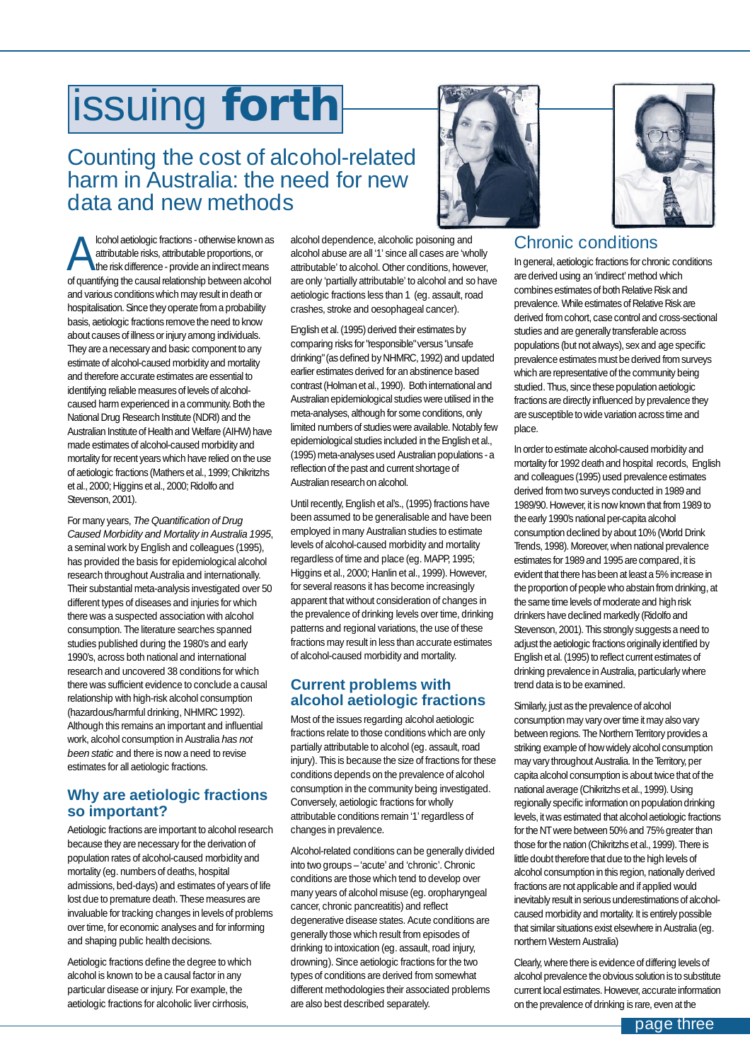# <span id="page-2-0"></span>issuing **forth**

### Counting the cost of alcohol-related harm in Australia: the need for new data and new methods

Cohol aetiologic fractions - otherwise known as<br>
attributable risks, attributable proportions, or<br>
of guestifying the causel relationship between clopbal attributable risks, attributable proportions, or of quantifying the causal relationship between alcohol and various conditions which may result in death or hospitalisation. Since they operate from a probability basis, aetiologic fractions remove the need to know about causes of illness or injury among individuals. They are a necessary and basic component to any estimate of alcohol-caused morbidity and mortality and therefore accurate estimates are essential to identifying reliable measures of levels of alcoholcaused harm experienced in a community. Both the National Drug Research Institute (NDRI) and the Australian Institute of Health and Welfare (AIHW) have made estimates of alcohol-caused morbidity and mortality for recent years which have relied on the use of aetiologic fractions (Mathers et al., 1999; Chikritzhs et al., 2000; Higgins et al., 2000; Ridolfo and Stevenson, 2001).

For many years, *The Quantification of Drug Caused Morbidity and Mortality in Australia 1995*, a seminal work by English and colleagues (1995), has provided the basis for epidemiological alcohol research throughout Australia and internationally. Their substantial meta-analysis investigated over 50 different types of diseases and injuries for which there was a suspected association with alcohol consumption. The literature searches spanned studies published during the 1980's and early 1990's, across both national and international research and uncovered 38 conditions for which there was sufficient evidence to conclude a causal relationship with high-risk alcohol consumption (hazardous/harmful drinking, NHMRC 1992). Although this remains an important and influential work, alcohol consumption in Australia *has not been static* and there is now a need to revise estimates for all aetiologic fractions.

#### **Why are aetiologic fractions so important?**

Aetiologic fractions are important to alcohol research because they are necessary for the derivation of population rates of alcohol-caused morbidity and mortality (eg. numbers of deaths, hospital admissions, bed-days) and estimates of years of life lost due to premature death. These measures are invaluable for tracking changes in levels of problems over time, for economic analyses and for informing and shaping public health decisions.

Aetiologic fractions define the degree to which alcohol is known to be a causal factor in any particular disease or injury. For example, the aetiologic fractions for alcoholic liver cirrhosis,

alcohol dependence, alcoholic poisoning and alcohol abuse are all '1' since all cases are 'wholly attributable' to alcohol. Other conditions, however, are only 'partially attributable' to alcohol and so have aetiologic fractions less than 1 (eg. assault, road crashes, stroke and oesophageal cancer).

English et al. (1995) derived their estimates by comparing risks for "responsible" versus "unsafe drinking" (as defined by NHMRC, 1992) and updated earlier estimates derived for an abstinence based contrast (Holman et al., 1990). Both international and Australian epidemiological studies were utilised in the meta-analyses, although for some conditions, only limited numbers of studies were available. Notably few epidemiological studies included in the English et al., (1995) meta-analyses used Australian populations - a reflection of the past and current shortage of Australian research on alcohol.

Until recently, English et al's., (1995) fractions have been assumed to be generalisable and have been employed in many Australian studies to estimate levels of alcohol-caused morbidity and mortality regardless of time and place (eg. MAPP, 1995; Higgins et al., 2000; Hanlin et al., 1999). However, for several reasons it has become increasingly apparent that without consideration of changes in the prevalence of drinking levels over time, drinking patterns and regional variations, the use of these fractions may result in less than accurate estimates of alcohol-caused morbidity and mortality.

#### **Current problems with alcohol aetiologic fractions**

Most of the issues regarding alcohol aetiologic fractions relate to those conditions which are only partially attributable to alcohol (eg. assault, road injury). This is because the size of fractions for these conditions depends on the prevalence of alcohol consumption in the community being investigated. Conversely, aetiologic fractions for wholly attributable conditions remain '1' regardless of changes in prevalence.

Alcohol-related conditions can be generally divided into two groups – 'acute' and 'chronic'. Chronic conditions are those which tend to develop over many years of alcohol misuse (eg. oropharyngeal cancer, chronic pancreatitis) and reflect degenerative disease states. Acute conditions are generally those which result from episodes of drinking to intoxication (eg. assault, road injury, drowning). Since aetiologic fractions for the two types of conditions are derived from somewhat different methodologies their associated problems are also best described separately.





### Chronic conditions

In general, aetiologic fractions for chronic conditions are derived using an 'indirect' method which combines estimates of both Relative Risk and prevalence. While estimates of Relative Risk are derived from cohort, case control and cross-sectional studies and are generally transferable across populations (but not always), sex and age specific prevalence estimates must be derived from surveys which are representative of the community being studied. Thus, since these population aetiologic fractions are directly influenced by prevalence they are susceptible to wide variation across time and place.

In order to estimate alcohol-caused morbidity and mortality for 1992 death and hospital records, English and colleagues (1995) used prevalence estimates derived from two surveys conducted in 1989 and 1989/90. However, it is now known that from 1989 to the early 1990's national per-capita alcohol consumption declined by about 10% (World Drink Trends, 1998). Moreover, when national prevalence estimates for 1989 and 1995 are compared, it is evident that there has been at least a 5% increase in the proportion of people who abstain from drinking, at the same time levels of moderate and high risk drinkers have declined markedly (Ridolfo and Stevenson, 2001). This strongly suggests a need to adjust the aetiologic fractions originally identified by English et al. (1995) to reflect current estimates of drinking prevalence in Australia, particularly where trend data is to be examined.

Similarly, just as the prevalence of alcohol consumption may vary over time it may also vary between regions. The Northern Territory provides a striking example of how widely alcohol consumption may vary throughout Australia. In the Territory, per capita alcohol consumption is about twice that of the national average (Chikritzhs et al., 1999). Using regionally specific information on population drinking levels, it was estimated that alcohol aetiologic fractions for the NT were between 50% and 75% greater than those for the nation (Chikritzhs et al., 1999). There is little doubt therefore that due to the high levels of alcohol consumption in this region, nationally derived fractions are not applicable and if applied would inevitably result in serious underestimations of alcoholcaused morbidity and mortality. It is entirely possible that similar situations exist elsewhere in Australia (eg. northern Western Australia)

Clearly, where there is evidence of differing levels of alcohol prevalence the obvious solution is to substitute current local estimates. However, accurate information on the prevalence of drinking is rare, even at the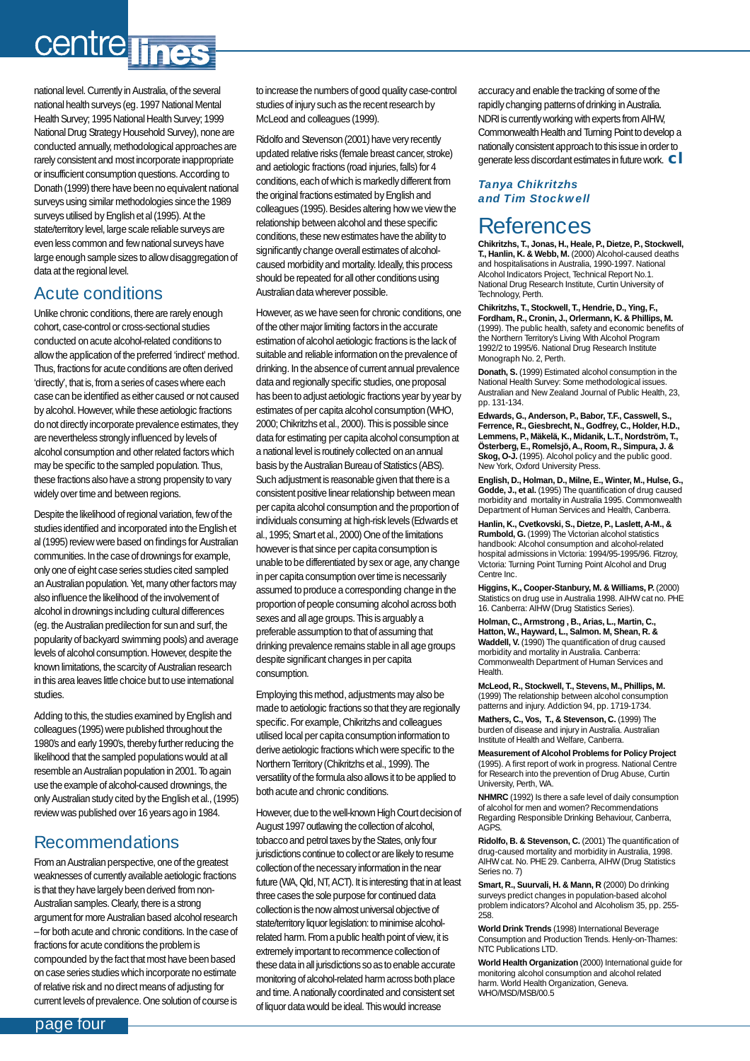# centre lines

national level. Currently in Australia, of the several national health surveys (eg. 1997 National Mental Health Survey; 1995 National Health Survey; 1999 National Drug Strategy Household Survey), none are conducted annually, methodological approaches are rarely consistent and most incorporate inappropriate or insufficient consumption questions. According to Donath (1999) there have been no equivalent national surveys using similar methodologies since the 1989 surveys utilised by English et al (1995). At the state/territory level, large scale reliable surveys are even less common and few national surveys have large enough sample sizes to allow disaggregation of data at the regional level.

### Acute conditions

Unlike chronic conditions, there are rarely enough cohort, case-control or cross-sectional studies conducted on acute alcohol-related conditions to allow the application of the preferred 'indirect' method. Thus, fractions for acute conditions are often derived 'directly', that is, from a series of cases where each case can be identified as either caused or not caused by alcohol. However, while these aetiologic fractions do not directly incorporate prevalence estimates, they are nevertheless strongly influenced by levels of alcohol consumption and other related factors which may be specific to the sampled population. Thus, these fractions also have a strong propensity to vary widely over time and between regions.

Despite the likelihood of regional variation, few of the studies identified and incorporated into the English et al (1995) review were based on findings for Australian communities. In the case of drownings for example, only one of eight case series studies cited sampled an Australian population. Yet, many other factors may also influence the likelihood of the involvement of alcohol in drownings including cultural differences (eg. the Australian predilection for sun and surf, the popularity of backyard swimming pools) and average levels of alcohol consumption. However, despite the known limitations, the scarcity of Australian research in this area leaves little choice but to use international studies.

Adding to this, the studies examined by English and colleagues (1995) were published throughout the 1980's and early 1990's, thereby further reducing the likelihood that the sampled populations would at all resemble an Australian population in 2001. To again use the example of alcohol-caused drownings, the only Australian study cited by the English et al., (1995) review was published over 16 years ago in 1984.

#### Recommendations

From an Australian perspective, one of the greatest weaknesses of currently available aetiologic fractions is that they have largely been derived from non-Australian samples. Clearly, there is a strong argument for more Australian based alcohol research – for both acute and chronic conditions. In the case of fractions for acute conditions the problem is compounded by the fact that most have been based on case series studies which incorporate no estimate of relative risk and no direct means of adjusting for current levels of prevalence. One solution of course is

to increase the numbers of good quality case-control studies of injury such as the recent research by McLeod and colleagues (1999).

Ridolfo and Stevenson (2001) have very recently updated relative risks (female breast cancer, stroke) and aetiologic fractions (road injuries, falls) for 4 conditions, each of which is markedly different from the original fractions estimated by English and colleagues (1995). Besides altering how we view the relationship between alcohol and these specific conditions, these new estimates have the ability to significantly change overall estimates of alcoholcaused morbidity and mortality. Ideally, this process should be repeated for all other conditions using Australian data wherever possible.

However, as we have seen for chronic conditions, one of the other major limiting factors in the accurate estimation of alcohol aetiologic fractions is the lack of suitable and reliable information on the prevalence of drinking. In the absence of current annual prevalence data and regionally specific studies, one proposal has been to adjust aetiologic fractions year by year by estimates of per capita alcohol consumption (WHO, 2000; Chikritzhs et al., 2000). This is possible since data for estimating per capita alcohol consumption at a national level is routinely collected on an annual basis by the Australian Bureau of Statistics (ABS). Such adjustment is reasonable given that there is a consistent positive linear relationship between mean per capita alcohol consumption and the proportion of individuals consuming at high-risk levels (Edwards et al., 1995; Smart et al., 2000) One of the limitations however is that since per capita consumption is unable to be differentiated by sex or age, any change in per capita consumption over time is necessarily assumed to produce a corresponding change in the proportion of people consuming alcohol across both sexes and all age groups. This is arguably a preferable assumption to that of assuming that drinking prevalence remains stable in all age groups despite significant changes in per capita consumption.

Employing this method, adjustments may also be made to aetiologic fractions so that they are regionally specific. For example, Chikritzhs and colleagues utilised local per capita consumption information to derive aetiologic fractions which were specific to the Northern Territory (Chikritzhs et al., 1999). The versatility of the formula also allows it to be applied to both acute and chronic conditions.

However, due to the well-known High Court decision of August 1997 outlawing the collection of alcohol, tobacco and petrol taxes by the States, only four jurisdictions continue to collect or are likely to resume collection of the necessary information in the near future (WA, Qld, NT, ACT). It is interesting that in at least three cases the sole purpose for continued data collection is the now almost universal objective of state/territory liquor legislation: to minimise alcoholrelated harm. From a public health point of view, it is extremely important to recommence collection of these data in all jurisdictions so as to enable accurate monitoring of alcohol-related harm across both place and time. A nationally coordinated and consistent set of liquor data would be ideal. This would increase

accuracy and enable the tracking of some of the rapidly changing patterns of drinking in Australia. NDRI is currently working with experts from AIHW, Commonwealth Health and Turning Point to develop a nationally consistent approach to this issue in order to generate less discordant estimates in future work. **cl**

#### *Tanya Chikritzhs and Tim Stockwell*

### **References**

**Chikritzhs, T., Jonas, H., Heale, P., Dietze, P., Stockwell, T., Hanlin, K. & Webb, M.** (2000) Alcohol-caused deaths and hospitalisations in Australia, 1990-1997. National Alcohol Indicators Project, Technical Report No.1. National Drug Research Institute, Curtin University of Technology, Perth.

**Chikritzhs, T., Stockwell, T., Hendrie, D., Ying, F., Fordham, R., Cronin, J., Orlermann, K. & Phillips, M.** (1999). The public health, safety and economic benefits of the Northern Territory's Living With Alcohol Program 1992/2 to 1995/6. National Drug Research Institute Monograph No. 2, Perth.

**Donath, S.** (1999) Estimated alcohol consumption in the National Health Survey: Some methodological issues. Australian and New Zealand Journal of Public Health, 23, pp. 131-134.

**Edwards, G., Anderson, P., Babor, T.F., Casswell, S., Ferrence, R., Giesbrecht, N., Godfrey, C., Holder, H.D., Lemmens, P., Mäkelä, K., Midanik, L.T., Nordström, T., Österberg, E., Romelsjö, A., Room, R., Simpura, J. & Skog, O-J.** (1995). Alcohol policy and the public good. New York, Oxford University Press.

**English, D., Holman, D., Milne, E., Winter, M., Hulse, G., Godde, J., et al.** (1995) The quantification of drug caused morbidity and mortality in Australia 1995. Commonwealth Department of Human Services and Health, Canberra.

**Hanlin, K., Cvetkovski, S., Dietze, P., Laslett, A-M., & Rumbold, G.** (1999) The Victorian alcohol statistics handbook: Alcohol consumption and alcohol-related hospital admissions in Victoria: 1994/95-1995/96. Fitzroy, Victoria: Turning Point Turning Point Alcohol and Drug Centre Inc.

**Higgins, K., Cooper-Stanbury, M. & Williams, P.** (2000) Statistics on drug use in Australia 1998. AIHW cat no. PHE 16. Canberra: AIHW (Drug Statistics Series).

**Holman, C., Armstrong , B., Arias, L., Martin, C., Hatton, W., Hayward, L., Salmon. M, Shean, R. & Waddell, V.** (1990) The quantification of drug caused morbidity and mortality in Australia. Canberra: Commonwealth Department of Human Services and Health.

**McLeod, R., Stockwell, T., Stevens, M., Phillips, M.** (1999) The relationship between alcohol consumption patterns and injury. Addiction 94, pp. 1719-1734.

**Mathers, C., Vos, T., & Stevenson, C.** (1999) The burden of disease and injury in Australia. Australian Institute of Health and Welfare, Canberra.

**Measurement of Alcohol Problems for Policy Project** (1995). A first report of work in progress. National Centre for Research into the prevention of Drug Abuse, Curtin University, Perth, WA.

**NHMRC** (1992) Is there a safe level of daily consumption of alcohol for men and women? Recommendations Regarding Responsible Drinking Behaviour, Canberra, AGPS.

**Ridolfo, B. & Stevenson, C.** (2001) The quantification of drug-caused mortality and morbidity in Australia, 1998. AIHW cat. No. PHE 29. Canberra, AIHW (Drug Statistics Series no. 7)

**Smart, R., Suurvali, H. & Mann, R** (2000) Do drinking surveys predict changes in population-based alcohol problem indicators? Alcohol and Alcoholism 35, pp. 255- 258.

**World Drink Trends** (1998) International Beverage Consumption and Production Trends. Henly-on-Thames: NTC Publications LTD.

**World Health Organization** (2000) International guide for monitoring alcohol consumption and alcohol related harm. World Health Organization, Geneva. WHO/MSD/MSB/00.5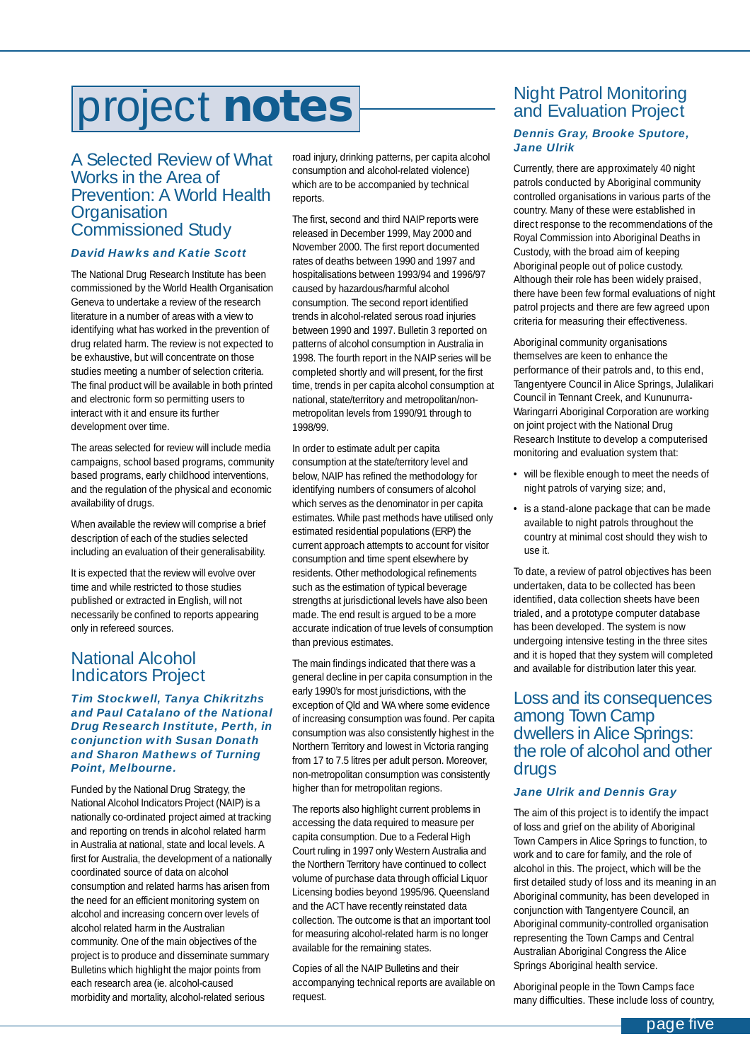# <span id="page-4-0"></span>project **notes**

#### A Selected Review of What Works in the Area of Prevention: A World Health **Organisation** Commissioned Study

#### *David Hawks and Katie Scott*

The National Drug Research Institute has been commissioned by the World Health Organisation Geneva to undertake a review of the research literature in a number of areas with a view to identifying what has worked in the prevention of drug related harm. The review is not expected to be exhaustive, but will concentrate on those studies meeting a number of selection criteria. The final product will be available in both printed and electronic form so permitting users to interact with it and ensure its further development over time.

The areas selected for review will include media campaigns, school based programs, community based programs, early childhood interventions, and the regulation of the physical and economic availability of drugs.

When available the review will comprise a brief description of each of the studies selected including an evaluation of their generalisability.

It is expected that the review will evolve over time and while restricted to those studies published or extracted in English, will not necessarily be confined to reports appearing only in refereed sources.

#### National Alcohol Indicators Project

#### *Tim Stockwell, Tanya Chikritzhs and Paul Catalano of the National Drug Research Institute, Perth, in conjunction with Susan Donath and Sharon Mathews of Turning Point, Melbourne.*

Funded by the National Drug Strategy, the National Alcohol Indicators Project (NAIP) is a nationally co-ordinated project aimed at tracking and reporting on trends in alcohol related harm in Australia at national, state and local levels. A first for Australia, the development of a nationally coordinated source of data on alcohol consumption and related harms has arisen from the need for an efficient monitoring system on alcohol and increasing concern over levels of alcohol related harm in the Australian community. One of the main objectives of the project is to produce and disseminate summary Bulletins which highlight the major points from each research area (ie. alcohol-caused morbidity and mortality, alcohol-related serious

road injury, drinking patterns, per capita alcohol consumption and alcohol-related violence) which are to be accompanied by technical reports.

The first, second and third NAIP reports were released in December 1999, May 2000 and November 2000. The first report documented rates of deaths between 1990 and 1997 and hospitalisations between 1993/94 and 1996/97 caused by hazardous/harmful alcohol consumption. The second report identified trends in alcohol-related serous road injuries between 1990 and 1997. Bulletin 3 reported on patterns of alcohol consumption in Australia in 1998. The fourth report in the NAIP series will be completed shortly and will present, for the first time, trends in per capita alcohol consumption at national, state/territory and metropolitan/nonmetropolitan levels from 1990/91 through to 1998/99.

In order to estimate adult per capita consumption at the state/territory level and below, NAIP has refined the methodology for identifying numbers of consumers of alcohol which serves as the denominator in per capita estimates. While past methods have utilised only estimated residential populations (ERP) the current approach attempts to account for visitor consumption and time spent elsewhere by residents. Other methodological refinements such as the estimation of typical beverage strengths at jurisdictional levels have also been made. The end result is argued to be a more accurate indication of true levels of consumption than previous estimates.

The main findings indicated that there was a general decline in per capita consumption in the early 1990's for most jurisdictions, with the exception of Qld and WA where some evidence of increasing consumption was found. Per capita consumption was also consistently highest in the Northern Territory and lowest in Victoria ranging from 17 to 7.5 litres per adult person. Moreover, non-metropolitan consumption was consistently higher than for metropolitan regions.

The reports also highlight current problems in accessing the data required to measure per capita consumption. Due to a Federal High Court ruling in 1997 only Western Australia and the Northern Territory have continued to collect volume of purchase data through official Liquor Licensing bodies beyond 1995/96. Queensland and the ACT have recently reinstated data collection. The outcome is that an important tool for measuring alcohol-related harm is no longer available for the remaining states.

Copies of all the NAIP Bulletins and their accompanying technical reports are available on request.

### Night Patrol Monitoring and Evaluation Project

#### *Dennis Gray, Brooke Sputore, Jane Ulrik*

Currently, there are approximately 40 night patrols conducted by Aboriginal community controlled organisations in various parts of the country. Many of these were established in direct response to the recommendations of the Royal Commission into Aboriginal Deaths in Custody, with the broad aim of keeping Aboriginal people out of police custody. Although their role has been widely praised, there have been few formal evaluations of night patrol projects and there are few agreed upon criteria for measuring their effectiveness.

Aboriginal community organisations themselves are keen to enhance the performance of their patrols and, to this end, Tangentyere Council in Alice Springs, Julalikari Council in Tennant Creek, and Kununurra-Waringarri Aboriginal Corporation are working on joint project with the National Drug Research Institute to develop a computerised monitoring and evaluation system that:

- will be flexible enough to meet the needs of night patrols of varying size; and,
- is a stand-alone package that can be made available to night patrols throughout the country at minimal cost should they wish to use it.

To date, a review of patrol objectives has been undertaken, data to be collected has been identified, data collection sheets have been trialed, and a prototype computer database has been developed. The system is now undergoing intensive testing in the three sites and it is hoped that they system will completed and available for distribution later this year.

#### Loss and its consequences among Town Camp dwellers in Alice Springs: the role of alcohol and other drugs

#### *Jane Ulrik and Dennis Gray*

The aim of this project is to identify the impact of loss and grief on the ability of Aboriginal Town Campers in Alice Springs to function, to work and to care for family, and the role of alcohol in this. The project, which will be the first detailed study of loss and its meaning in an Aboriginal community, has been developed in conjunction with Tangentyere Council, an Aboriginal community-controlled organisation representing the Town Camps and Central Australian Aboriginal Congress the Alice Springs Aboriginal health service.

Aboriginal people in the Town Camps face many difficulties. These include loss of country,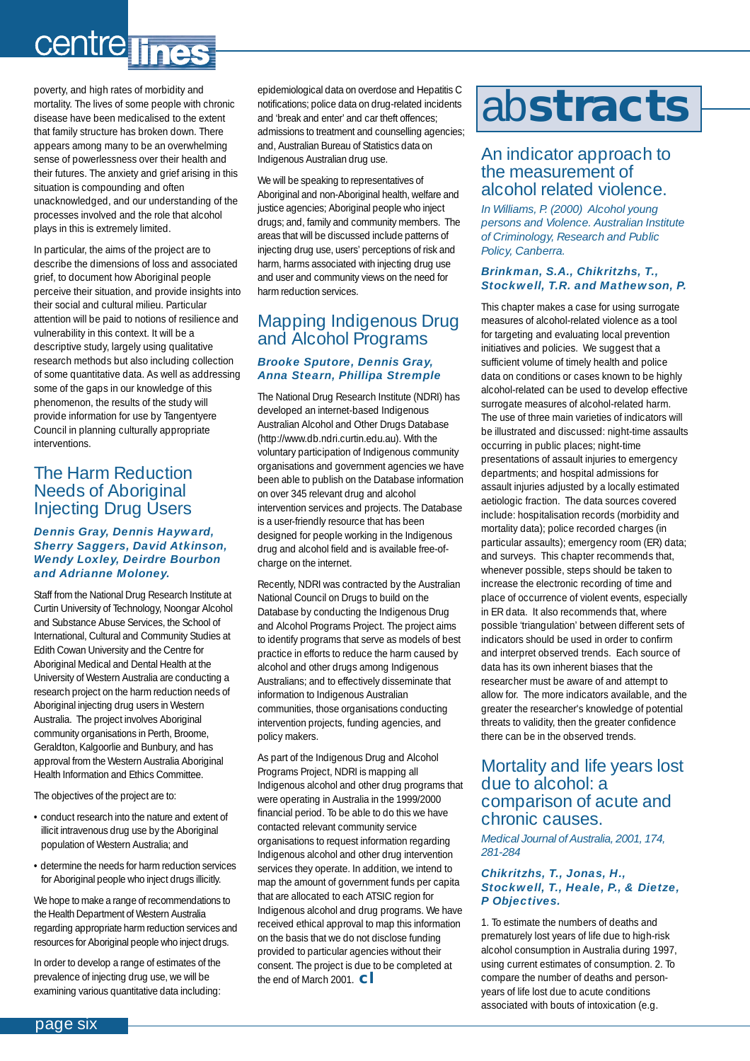# <span id="page-5-0"></span>centre lines

poverty, and high rates of morbidity and mortality. The lives of some people with chronic disease have been medicalised to the extent that family structure has broken down. There appears among many to be an overwhelming sense of powerlessness over their health and their futures. The anxiety and grief arising in this situation is compounding and often unacknowledged, and our understanding of the processes involved and the role that alcohol plays in this is extremely limited.

In particular, the aims of the project are to describe the dimensions of loss and associated grief, to document how Aboriginal people perceive their situation, and provide insights into their social and cultural milieu. Particular attention will be paid to notions of resilience and vulnerability in this context. It will be a descriptive study, largely using qualitative research methods but also including collection of some quantitative data. As well as addressing some of the gaps in our knowledge of this phenomenon, the results of the study will provide information for use by Tangentyere Council in planning culturally appropriate interventions.

#### The Harm Reduction Needs of Aboriginal Injecting Drug Users

#### *Dennis Gray, Dennis Hayward, Sherry Saggers, David Atkinson, Wendy Loxley, Deirdre Bourbon and Adrianne Moloney.*

Staff from the National Drug Research Institute at Curtin University of Technology, Noongar Alcohol and Substance Abuse Services, the School of International, Cultural and Community Studies at Edith Cowan University and the Centre for Aboriginal Medical and Dental Health at the University of Western Australia are conducting a research project on the harm reduction needs of Aboriginal injecting drug users in Western Australia. The project involves Aboriginal community organisations in Perth, Broome, Geraldton, Kalgoorlie and Bunbury, and has approval from the Western Australia Aboriginal Health Information and Ethics Committee.

The objectives of the project are to:

- conduct research into the nature and extent of illicit intravenous drug use by the Aboriginal population of Western Australia; and
- determine the needs for harm reduction services for Aboriginal people who inject drugs illicitly.

We hope to make a range of recommendations to the Health Department of Western Australia regarding appropriate harm reduction services and resources for Aboriginal people who inject drugs.

In order to develop a range of estimates of the prevalence of injecting drug use, we will be examining various quantitative data including:

epidemiological data on overdose and Hepatitis C notifications; police data on drug-related incidents and 'break and enter' and car theft offences; admissions to treatment and counselling agencies; and, Australian Bureau of Statistics data on Indigenous Australian drug use.

We will be speaking to representatives of Aboriginal and non-Aboriginal health, welfare and justice agencies; Aboriginal people who inject drugs; and, family and community members. The areas that will be discussed include patterns of injecting drug use, users' perceptions of risk and harm, harms associated with injecting drug use and user and community views on the need for harm reduction services.

#### Mapping Indigenous Drug and Alcohol Programs *Brooke Sputore, Dennis Gray, Anna Stearn, Phillipa Stremple*

The National Drug Research Institute (NDRI) has developed an internet-based Indigenous Australian Alcohol and Other Drugs Database (http://www.db.ndri.curtin.edu.au). With the voluntary participation of Indigenous community organisations and government agencies we have been able to publish on the Database information on over 345 relevant drug and alcohol intervention services and projects. The Database is a user-friendly resource that has been designed for people working in the Indigenous drug and alcohol field and is available free-ofcharge on the internet.

Recently, NDRI was contracted by the Australian National Council on Drugs to build on the Database by conducting the Indigenous Drug and Alcohol Programs Project. The project aims to identify programs that serve as models of best practice in efforts to reduce the harm caused by alcohol and other drugs among Indigenous Australians; and to effectively disseminate that information to Indigenous Australian communities, those organisations conducting intervention projects, funding agencies, and policy makers.

As part of the Indigenous Drug and Alcohol Programs Project, NDRI is mapping all Indigenous alcohol and other drug programs that were operating in Australia in the 1999/2000 financial period. To be able to do this we have contacted relevant community service organisations to request information regarding Indigenous alcohol and other drug intervention services they operate. In addition, we intend to map the amount of government funds per capita that are allocated to each ATSIC region for Indigenous alcohol and drug programs. We have received ethical approval to map this information on the basis that we do not disclose funding provided to particular agencies without their consent. The project is due to be completed at the end of March 2001. **cl** 

# ab**stracts**

#### An indicator approach to the measurement of alcohol related violence.

*In Williams, P. (2000) Alcohol young persons and Violence. Australian Institute of Criminology, Research and Public Policy, Canberra.* 

#### *Brinkman, S.A., Chikritzhs, T., Stockwell, T.R. and Mathewson, P.*

This chapter makes a case for using surrogate measures of alcohol-related violence as a tool for targeting and evaluating local prevention initiatives and policies. We suggest that a sufficient volume of timely health and police data on conditions or cases known to be highly alcohol-related can be used to develop effective surrogate measures of alcohol-related harm. The use of three main varieties of indicators will be illustrated and discussed: night-time assaults occurring in public places; night-time presentations of assault injuries to emergency departments; and hospital admissions for assault injuries adjusted by a locally estimated aetiologic fraction. The data sources covered include: hospitalisation records (morbidity and mortality data); police recorded charges (in particular assaults); emergency room (ER) data; and surveys. This chapter recommends that, whenever possible, steps should be taken to increase the electronic recording of time and place of occurrence of violent events, especially in ER data. It also recommends that, where possible 'triangulation' between different sets of indicators should be used in order to confirm and interpret observed trends. Each source of data has its own inherent biases that the researcher must be aware of and attempt to allow for. The more indicators available, and the greater the researcher's knowledge of potential threats to validity, then the greater confidence there can be in the observed trends.

#### Mortality and life years lost due to alcohol: a comparison of acute and chronic causes.

*Medical Journal of Australia, 2001, 174, 281-284*

#### *Chikritzhs, T., Jonas, H., Stockwell, T., Heale, P., & Dietze, P Objectives.*

1. To estimate the numbers of deaths and prematurely lost years of life due to high-risk alcohol consumption in Australia during 1997, using current estimates of consumption. 2. To compare the number of deaths and personyears of life lost due to acute conditions associated with bouts of intoxication (e.g.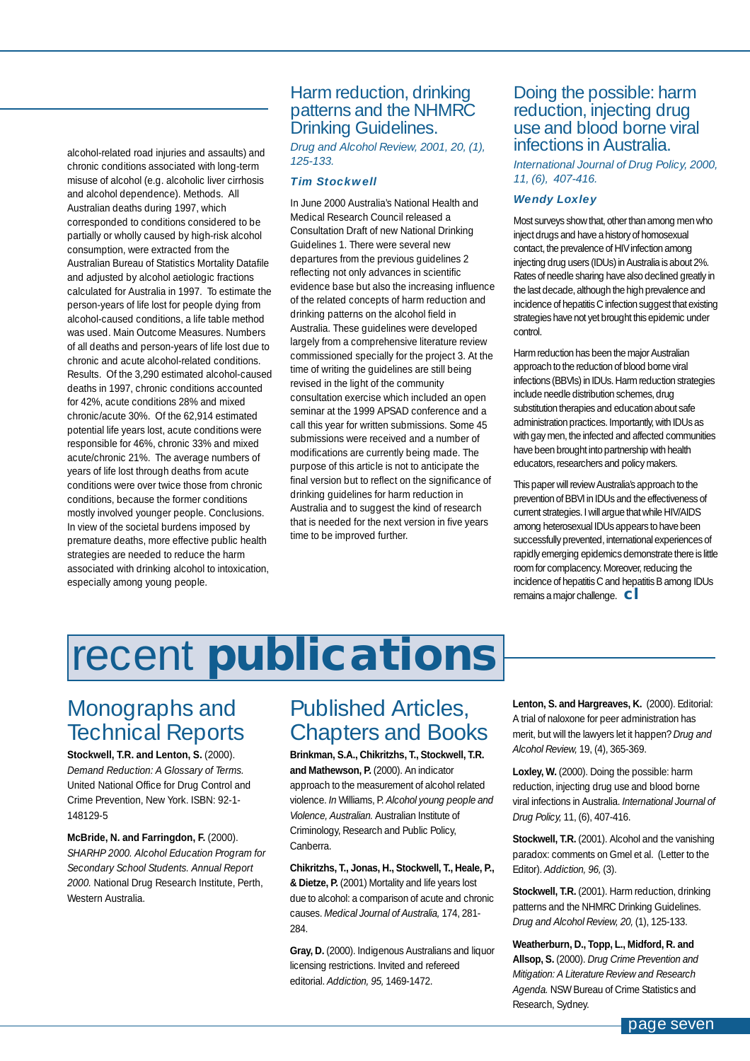<span id="page-6-0"></span>alcohol-related road injuries and assaults) and chronic conditions associated with long-term misuse of alcohol (e.g. alcoholic liver cirrhosis and alcohol dependence). Methods. All Australian deaths during 1997, which corresponded to conditions considered to be partially or wholly caused by high-risk alcohol consumption, were extracted from the Australian Bureau of Statistics Mortality Datafile and adjusted by alcohol aetiologic fractions calculated for Australia in 1997. To estimate the person-years of life lost for people dying from alcohol-caused conditions, a life table method was used. Main Outcome Measures. Numbers of all deaths and person-years of life lost due to chronic and acute alcohol-related conditions. Results. Of the 3,290 estimated alcohol-caused deaths in 1997, chronic conditions accounted for 42%, acute conditions 28% and mixed chronic/acute 30%. Of the 62,914 estimated potential life years lost, acute conditions were responsible for 46%, chronic 33% and mixed acute/chronic 21%. The average numbers of years of life lost through deaths from acute conditions were over twice those from chronic conditions, because the former conditions mostly involved younger people. Conclusions. In view of the societal burdens imposed by premature deaths, more effective public health strategies are needed to reduce the harm associated with drinking alcohol to intoxication, especially among young people.

#### Harm reduction, drinking patterns and the NHMRC Drinking Guidelines.

*Drug and Alcohol Review, 2001, 20, (1), 125-133.*

#### *Tim Stockwell*

In June 2000 Australia's National Health and Medical Research Council released a Consultation Draft of new National Drinking Guidelines 1. There were several new departures from the previous guidelines 2 reflecting not only advances in scientific evidence base but also the increasing influence of the related concepts of harm reduction and drinking patterns on the alcohol field in Australia. These guidelines were developed largely from a comprehensive literature review commissioned specially for the project 3. At the time of writing the guidelines are still being revised in the light of the community consultation exercise which included an open seminar at the 1999 APSAD conference and a call this year for written submissions. Some 45 submissions were received and a number of modifications are currently being made. The purpose of this article is not to anticipate the final version but to reflect on the significance of drinking guidelines for harm reduction in Australia and to suggest the kind of research that is needed for the next version in five years time to be improved further.

#### Doing the possible: harm reduction, injecting drug use and blood borne viral infections in Australia.

*International Journal of Drug Policy, 2000, 11, (6), 407-416.*

#### *Wendy Loxley*

Most surveys show that, other than among men who inject drugs and have a history of homosexual contact, the prevalence of HIV infection among injecting drug users (IDUs) in Australia is about 2%. Rates of needle sharing have also declined greatly in the last decade, although the high prevalence and incidence of hepatitis C infection suggest that existing strategies have not yet brought this epidemic under control.

Harm reduction has been the major Australian approach to the reduction of blood borne viral infections (BBVIs) in IDUs. Harm reduction strategies include needle distribution schemes, drug substitution therapies and education about safe administration practices. Importantly, with IDUs as with gay men, the infected and affected communities have been brought into partnership with health educators, researchers and policy makers.

This paper will review Australia's approach to the prevention of BBVI in IDUs and the effectiveness of current strategies. I will argue that while HIV/AIDS among heterosexual IDUs appears to have been successfully prevented, international experiences of rapidly emerging epidemics demonstrate there is little room for complacency. Moreover, reducing the incidence of hepatitis C and hepatitis B among IDUs remains a major challenge. **cl**

# recent **publications**

## Monographs and Technical Reports

**Stockwell, T.R. and Lenton, S.** (2000). *Demand Reduction: A Glossary of Terms.* United National Office for Drug Control and Crime Prevention, New York. ISBN: 92-1- 148129-5

**McBride, N. and Farringdon, F.** (2000). *SHARHP 2000. Alcohol Education Program for Secondary School Students. Annual Report 2000.* National Drug Research Institute, Perth, Western Australia.

# Published Articles, Chapters and Books

**Brinkman, S.A., Chikritzhs, T., Stockwell, T.R. and Mathewson, P.** (2000). An indicator approach to the measurement of alcohol related violence. *In* Williams, P. *Alcohol young people and Violence, Australian.* Australian Institute of Criminology, Research and Public Policy, Canberra.

**Chikritzhs, T., Jonas, H., Stockwell, T., Heale, P., & Dietze, P.** (2001) Mortality and life years lost due to alcohol: a comparison of acute and chronic causes. *Medical Journal of Australia,* 174, 281- 284.

**Gray, D.** (2000). Indigenous Australians and liquor licensing restrictions. Invited and refereed editorial. *Addiction, 95,* 1469-1472.

**Lenton, S. and Hargreaves, K.** (2000). Editorial: A trial of naloxone for peer administration has merit, but will the lawyers let it happen? *Drug and Alcohol Review,* 19, (4), 365-369.

Loxley, W. (2000). Doing the possible: harm reduction, injecting drug use and blood borne viral infections in Australia. *International Journal of Drug Policy,* 11, (6), 407-416.

**Stockwell, T.R.** (2001). Alcohol and the vanishing paradox: comments on Gmel et al. (Letter to the Editor). *Addiction, 96,* (3).

**Stockwell, T.R.** (2001). Harm reduction, drinking patterns and the NHMRC Drinking Guidelines. *Drug and Alcohol Review, 20,* (1), 125-133.

**Weatherburn, D., Topp, L., Midford, R. and Allsop, S.** (2000). *Drug Crime Prevention and Mitigation: A Literature Review and Research Agenda.* NSW Bureau of Crime Statistics and Research, Sydney.